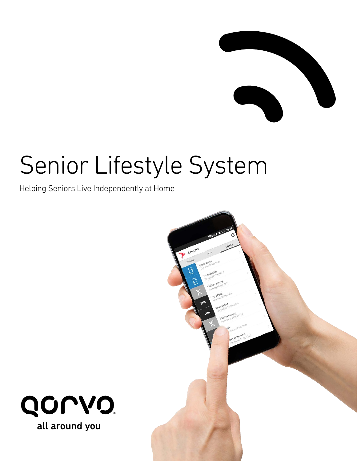

# Senior Lifestyle System

Helping Seniors Live Independently at Home



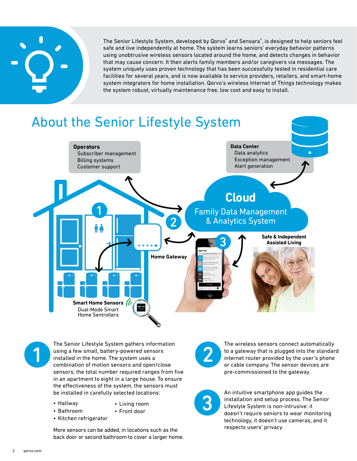

The Senior Lifestyle System, developed by Qorvo® and Sensara®, is designed to help seniors feel safe and live independently at home. The system learns seniors' everyday behavior patterns using unobtrusive wireless sensors located around the home, and detects changes in behavior that may cause concern. It then alerts family members and/or caregivers via messages. The system uniquely uses proven technology that has been successfully tested in residential care facilities for several years, and is now available to service providers, retailers, and smart-home system integrators for home installation. Qorvo's wireless Internet of Things technology makes the system robust, virtually maintenance free, low cost and easy to install.

### About the Senior Lifestyle System **Cloud** Family Data Management & Analytics System **Home Gateway Smart Home Sensors** Dual-Mode Smart Home Sentrollers **Safe & Independent Assisted Living Operators** Subscriber management Billing systems Customer support **Data Center** Data analytics Exception management Alert generation 1 2 3



The Senior Lifestyle System gathers information using a few small, battery-powered sensors installed in the home. The system uses a combination of motion sensors and open/close sensors; the total number required ranges from five in an apartment to eight in a large house. To ensure the effectiveness of the system, the sensors must be installed in carefully selected locations:

- Hallway • Living room
	- Front door
- Kitchen refrigerator

• Bathroom

More sensors can be added, in locations such as the back door or second bathroom to cover a larger home.



The wireless sensors connect automatically to a gateway that is plugged into the standard internet router provided by the user's phone or cable company. The sensor devices are pre-commissioned to the gateway.



An intuitive smartphone app guides the installation and setup process. The Senior Lifestyle System is non-intrusive: it doesn't require seniors to wear monitoring technology, it doesn't use cameras, and it respects users' privacy.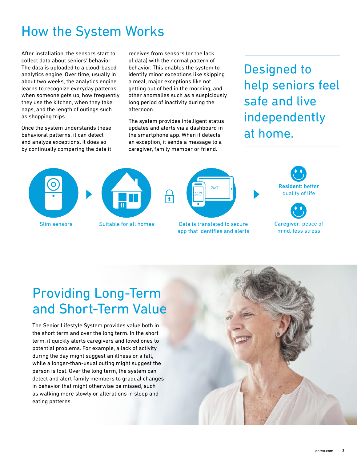## How the System Works

After installation, the sensors start to collect data about seniors' behavior. The data is uploaded to a cloud-based analytics engine. Over time, usually in about two weeks, the analytics engine learns to recognize everyday patterns: when someone gets up, how frequently they use the kitchen, when they take naps, and the length of outings such as shopping trips.

Once the system understands these behavioral patterns, it can detect and analyze exceptions. It does so by continually comparing the data it receives from sensors (or the lack of data) with the normal pattern of behavior. This enables the system to identify minor exceptions like skipping a meal, major exceptions like not getting out of bed in the morning, and other anomalies such as a suspiciously long period of inactivity during the afternoon.

The system provides intelligent status updates and alerts via a dashboard in the smartphone app. When it detects an exception, it sends a message to a caregiver, family member or friend.

Designed to help seniors feel safe and live independently at home.









Caregiver: peace of mind, less stress

Slim sensors Suitable for all homes Data is translated to secure app that identifies and alerts

## Providing Long-Term and Short-Term Value

The Senior Lifestyle System provides value both in the short term and over the long term. In the short term, it quickly alerts caregivers and loved ones to potential problems. For example, a lack of activity during the day might suggest an illness or a fall, while a longer-than-usual outing might suggest the person is lost. Over the long term, the system can detect and alert family members to gradual changes in behavior that might otherwise be missed, such as walking more slowly or alterations in sleep and eating patterns.